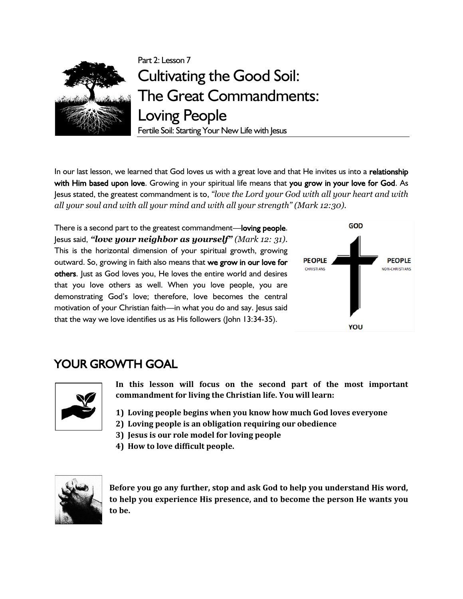

Part 2: Lesson 7 Cultivating the Good Soil: The Great Commandments: Loving People Fertile Soil: Starting Your New Life with Jesus

In our last lesson, we learned that God loves us with a great love and that He invites us into a relationship with Him based upon love. Growing in your spiritual life means that you grow in your love for God. As Jesus stated, the greatest commandment is to, *"love the Lord your God with all your heart and with all your soul and with all your mind and with all your strength" (Mark 12:30).*

There is a second part to the greatest commandment—loving people. Jesus said, *"love your neighbor as yourself" (Mark 12: 31)*. This is the horizontal dimension of your spiritual growth, growing outward. So, growing in faith also means that we grow in our love for others. Just as God loves you, He loves the entire world and desires that you love others as well. When you love people, you are demonstrating God's love; therefore, love becomes the central motivation of your Christian faith—in what you do and say. Jesus said that the way we love identifies us as His followers (John 13:34-35).



## YOUR GROWTH GOAL



**In this lesson will focus on the second part of the most important commandment for living the Christian life. You will learn:**

- **1) Loving people begins when you know how much God loves everyone**
- **2) Loving people is an obligation requiring our obedience**
- **3) Jesus is our role model for loving people**
- **4) How to love difficult people.**



**Before you go any further, stop and ask God to help you understand His word, to help you experience His presence, and to become the person He wants you to be.**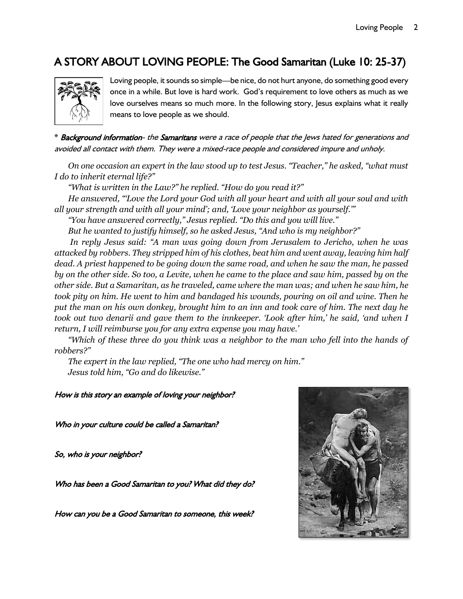## A STORY ABOUT LOVING PEOPLE: The Good Samaritan (Luke 10: 25-37)



Loving people, it sounds so simple—be nice, do not hurt anyone, do something good every once in a while. But love is hard work. God's requirement to love others as much as we love ourselves means so much more. In the following story, Jesus explains what it really means to love people as we should.

\* Background information- the Samaritans were a race of people that the Jews hated for generations and avoided all contact with them. They were a mixed-race people and considered impure and unholy.

*On one occasion an expert in the law stood up to test Jesus. "Teacher," he asked, "what must I do to inherit eternal life?"*

*"What is written in the Law?" he replied. "How do you read it?"*

*He answered, "'Love the Lord your God with all your heart and with all your soul and with all your strength and with all your mind'; and, 'Love your neighbor as yourself.'"*

*"You have answered correctly," Jesus replied. "Do this and you will live."*

*But he wanted to justify himself, so he asked Jesus, "And who is my neighbor?"*

*In reply Jesus said: "A man was going down from Jerusalem to Jericho, when he was attacked by robbers. They stripped him of his clothes, beat him and went away, leaving him half dead. A priest happened to be going down the same road, and when he saw the man, he passed by on the other side. So too, a Levite, when he came to the place and saw him, passed by on the other side. But a Samaritan, as he traveled, came where the man was; and when he saw him, he took pity on him. He went to him and bandaged his wounds, pouring on oil and wine. Then he put the man on his own donkey, brought him to an inn and took care of him. The next day he took out two denarii and gave them to the innkeeper. 'Look after him,' he said, 'and when I return, I will reimburse you for any extra expense you may have.'*

*"Which of these three do you think was a neighbor to the man who fell into the hands of robbers?"*

*The expert in the law replied, "The one who had mercy on him." Jesus told him, "Go and do likewise."*

#### How is this story an example of loving your neighbor?

Who in your culture could be called a Samaritan?

So, who is your neighbor?

Who has been a Good Samaritan to you? What did they do?

How can you be a Good Samaritan to someone, this week?

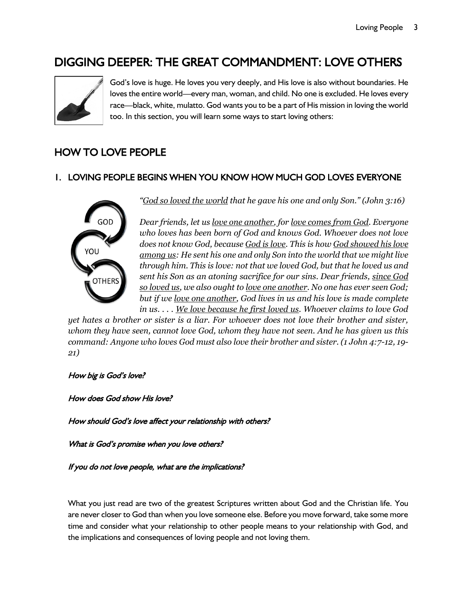# DIGGING DEEPER: THE GREAT COMMANDMENT: LOVE OTHERS



God's love is huge. He loves you very deeply, and His love is also without boundaries. He loves the entire world—every man, woman, and child. No one is excluded. He loves every race—black, white, mulatto. God wants you to be a part of His mission in loving the world too. In this section, you will learn some ways to start loving others:

## HOW TO LOVE PEOPLE

### 1. LOVING PEOPLE BEGINS WHEN YOU KNOW HOW MUCH GOD LOVES EVERYONE



*"God so loved the world that he gave his one and only Son." (John 3:16)*

*Dear friends, let us love one another, for love comes from God. Everyone who loves has been born of God and knows God. Whoever does not love does not know God, because God is love. This is how God showed his love among us: He sent his one and only Son into the world that we might live through him. This is love: not that we loved God, but that he loved us and sent his Son as an atoning sacrifice for our sins. Dear friends, since God so loved us, we also ought to love one another. No one has ever seen God; but if we love one another, God lives in us and his love is made complete in us. . . . We love because he first loved us. Whoever claims to love God* 

*yet hates a brother or sister is a liar. For whoever does not love their brother and sister, whom they have seen, cannot love God, whom they have not seen. And he has given us this command: Anyone who loves God must also love their brother and sister. (1 John 4:7-12, 19- 21)*

How big is God's love?

How does God show His love?

How should God's love affect your relationship with others?

What is God's promise when you love others?

If you do not love people, what are the implications?

What you just read are two of the greatest Scriptures written about God and the Christian life. You are never closer to God than when you love someone else. Before you move forward, take some more time and consider what your relationship to other people means to your relationship with God, and the implications and consequences of loving people and not loving them.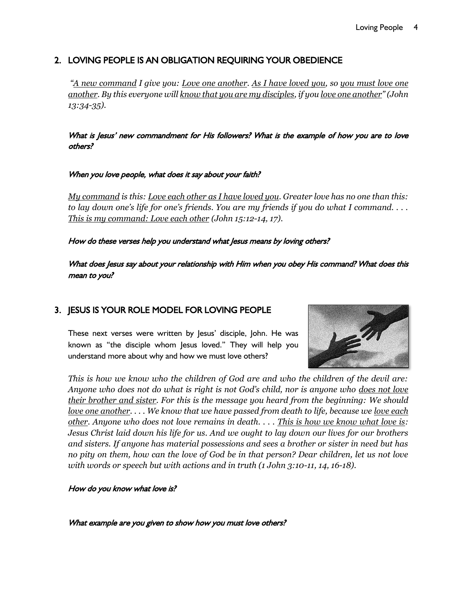### 2. LOVING PEOPLE IS AN OBLIGATION REQUIRING YOUR OBEDIENCE

*"A new command I give you: Love one another. As I have loved you, so you must love one another. By this everyone will know that you are my disciples, if you love one another" (John 13:34-35).*

What is Jesus' new commandment for His followers? What is the example of how you are to love others?

#### When you love people, what does it say about your faith?

*My command is this: Love each other as I have loved you. Greater love has no one than this: to lay down one's life for one's friends. You are my friends if you do what I command. . . . This is my command: Love each other (John 15:12-14, 17).*

How do these verses help you understand what Jesus means by loving others?

What does Jesus say about your relationship with Him when you obey His command? What does this mean to you?

## 3. JESUS IS YOUR ROLE MODEL FOR LOVING PEOPLE

These next verses were written by Jesus' disciple, John. He was known as "the disciple whom Jesus loved." They will help you understand more about why and how we must love others?



*This is how we know who the children of God are and who the children of the devil are: Anyone who does not do what is right is not God's child, nor is anyone who does not love their brother and sister. For this is the message you heard from the beginning: We should love one another. . . . We know that we have passed from death to life, because we love each other. Anyone who does not love remains in death. . . . This is how we know what love is: Jesus Christ laid down his life for us. And we ought to lay down our lives for our brothers and sisters. If anyone has material possessions and sees a brother or sister in need but has no pity on them, how can the love of God be in that person? Dear children, let us not love with words or speech but with actions and in truth (1 John 3:10-11, 14, 16-18).*

#### How do you know what love is?

What example are you given to show how you must love others?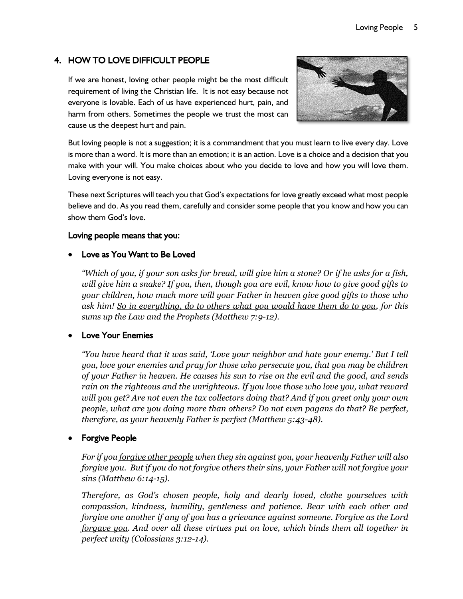## 4. HOW TO LOVE DIFFICULT PEOPLE

If we are honest, loving other people might be the most difficult requirement of living the Christian life. It is not easy because not everyone is lovable. Each of us have experienced hurt, pain, and harm from others. Sometimes the people we trust the most can cause us the deepest hurt and pain.



But loving people is not a suggestion; it is a commandment that you must learn to live every day. Love is more than a word. It is more than an emotion; it is an action. Love is a choice and a decision that you make with your will. You make choices about who you decide to love and how you will love them. Loving everyone is not easy.

These next Scriptures will teach you that God's expectations for love greatly exceed what most people believe and do. As you read them, carefully and consider some people that you know and how you can show them God's love.

#### Loving people means that you:

#### • Love as You Want to Be Loved

*"Which of you, if your son asks for bread, will give him a stone? Or if he asks for a fish, will give him a snake? If you, then, though you are evil, know how to give good gifts to your children, how much more will your Father in heaven give good gifts to those who ask him! So in everything, do to others what you would have them do to you, for this sums up the Law and the Prophets (Matthew 7:9-12).*

#### • Love Your Enemies

*"You have heard that it was said, 'Love your neighbor and hate your enemy.' But I tell you, love your enemies and pray for those who persecute you, that you may be children of your Father in heaven. He causes his sun to rise on the evil and the good, and sends rain on the righteous and the unrighteous. If you love those who love you, what reward will you get? Are not even the tax collectors doing that? And if you greet only your own people, what are you doing more than others? Do not even pagans do that? Be perfect, therefore, as your heavenly Father is perfect (Matthew 5:43-48).*

#### • Forgive People

*For if you forgive other people when they sin against you, your heavenly Father will also forgive you. But if you do not forgive others their sins, your Father will not forgive your sins (Matthew 6:14-15).*

*Therefore, as God's chosen people, holy and dearly loved, clothe yourselves with compassion, kindness, humility, gentleness and patience. Bear with each other and forgive one another if any of you has a grievance against someone. Forgive as the Lord forgave you. And over all these virtues put on love, which binds them all together in perfect unity (Colossians 3:12-14).*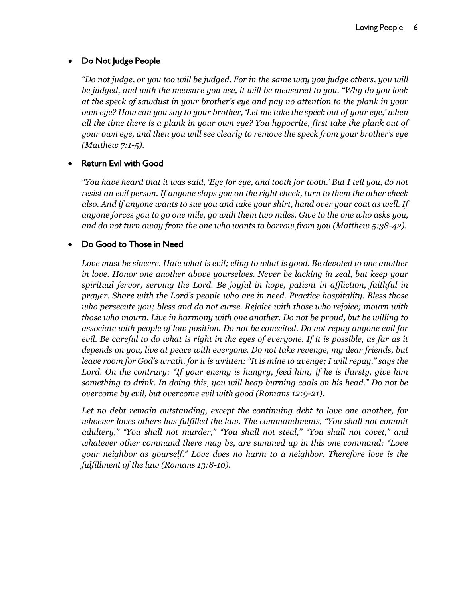#### • Do Not Judge People

*"Do not judge, or you too will be judged. For in the same way you judge others, you will be judged, and with the measure you use, it will be measured to you. "Why do you look at the speck of sawdust in your brother's eye and pay no attention to the plank in your own eye? How can you say to your brother, 'Let me take the speck out of your eye,' when all the time there is a plank in your own eye? You hypocrite, first take the plank out of your own eye, and then you will see clearly to remove the speck from your brother's eye (Matthew 7:1-5).*

#### • Return Evil with Good

*"You have heard that it was said, 'Eye for eye, and tooth for tooth.' But I tell you, do not resist an evil person. If anyone slaps you on the right cheek, turn to them the other cheek also. And if anyone wants to sue you and take your shirt, hand over your coat as well. If anyone forces you to go one mile, go with them two miles. Give to the one who asks you, and do not turn away from the one who wants to borrow from you (Matthew 5:38-42).*

#### • Do Good to Those in Need

*Love must be sincere. Hate what is evil; cling to what is good. Be devoted to one another in love. Honor one another above yourselves. Never be lacking in zeal, but keep your spiritual fervor, serving the Lord. Be joyful in hope, patient in affliction, faithful in prayer. Share with the Lord's people who are in need. Practice hospitality. Bless those who persecute you; bless and do not curse. Rejoice with those who rejoice; mourn with those who mourn. Live in harmony with one another. Do not be proud, but be willing to associate with people of low position. Do not be conceited. Do not repay anyone evil for evil. Be careful to do what is right in the eyes of everyone. If it is possible, as far as it depends on you, live at peace with everyone. Do not take revenge, my dear friends, but leave room for God's wrath, for it is written: "It is mine to avenge; I will repay," says the Lord. On the contrary: "If your enemy is hungry, feed him; if he is thirsty, give him something to drink. In doing this, you will heap burning coals on his head." Do not be overcome by evil, but overcome evil with good (Romans 12:9-21).*

*Let no debt remain outstanding, except the continuing debt to love one another, for whoever loves others has fulfilled the law. The commandments, "You shall not commit adultery," "You shall not murder," "You shall not steal," "You shall not covet," and whatever other command there may be, are summed up in this one command: "Love your neighbor as yourself." Love does no harm to a neighbor. Therefore love is the fulfillment of the law (Romans 13:8-10).*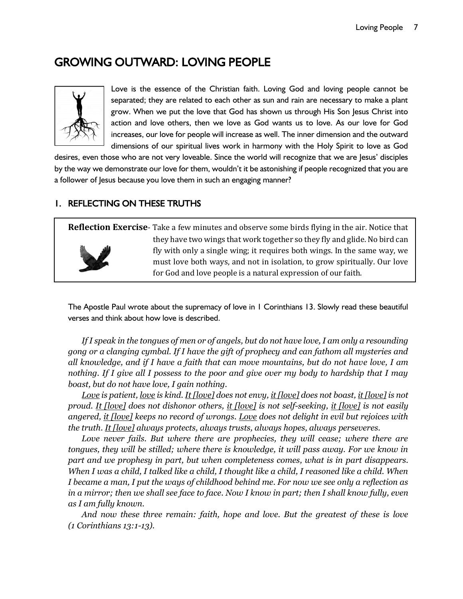## GROWING OUTWARD: LOVING PEOPLE



Love is the essence of the Christian faith. Loving God and loving people cannot be separated; they are related to each other as sun and rain are necessary to make a plant grow. When we put the love that God has shown us through His Son Jesus Christ into action and love others, then we love as God wants us to love. As our love for God increases, our love for people will increase as well. The inner dimension and the outward dimensions of our spiritual lives work in harmony with the Holy Spirit to love as God

desires, even those who are not very loveable. Since the world will recognize that we are Jesus' disciples by the way we demonstrate our love for them, wouldn't it be astonishing if people recognized that you are a follower of Jesus because you love them in such an engaging manner?

### 1. REFLECTING ON THESE TRUTHS

**Reflection Exercise**- Take a few minutes and observe some birds flying in the air. Notice that they have two wings that work together so they fly and glide. No bird can fly with only a single wing; it requires both wings. In the same way, we must love both ways, and not in isolation, to grow spiritually. Our love for God and love people is a natural expression of our faith.

The Apostle Paul wrote about the supremacy of love in 1 Corinthians 13. Slowly read these beautiful verses and think about how love is described.

*If I speak in the tongues of men or of angels, but do not have love, I am only a resounding gong or a clanging cymbal. If I have the gift of prophecy and can fathom all mysteries and all knowledge, and if I have a faith that can move mountains, but do not have love, I am nothing. If I give all I possess to the poor and give over my body to hardship that I may boast, but do not have love, I gain nothing.*

*Love is patient, love is kind. It [love] does not envy, it [love] does not boast, it [love] is not proud. It [love] does not dishonor others, it [love] is not self-seeking, it [love] is not easily angered, it [love] keeps no record of wrongs. Love does not delight in evil but rejoices with the truth. It [love] always protects, always trusts, always hopes, always perseveres.*

Love never fails. But where there are prophecies, they will cease; where there are *tongues, they will be stilled; where there is knowledge, it will pass away. For we know in part and we prophesy in part, but when completeness comes, what is in part disappears. When I was a child, I talked like a child, I thought like a child, I reasoned like a child. When I became a man, I put the ways of childhood behind me. For now we see only a reflection as in a mirror; then we shall see face to face. Now I know in part; then I shall know fully, even as I am fully known.*

*And now these three remain: faith, hope and love. But the greatest of these is love (1 Corinthians 13:1-13).*